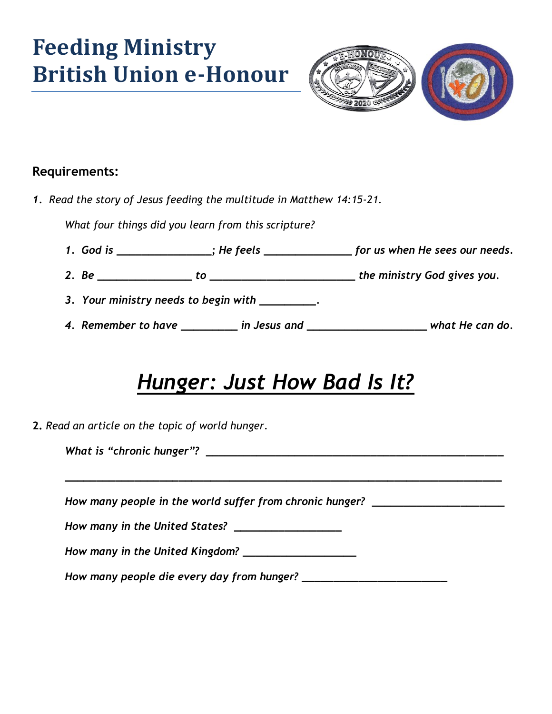# **Feeding Ministry British Union e-Honour**



#### **Requirements:**

*1. Read the story of Jesus feeding the multitude in Matthew 14:15-21.*

*What four things did you learn from this scripture?*

- *1. God is \_\_\_\_\_\_\_\_\_\_\_\_\_\_\_; He feels \_\_\_\_\_\_\_\_\_\_\_\_\_\_ for us when He sees our needs.*
- *2. Be \_\_\_\_\_\_\_\_\_\_\_\_\_\_\_ to \_\_\_\_\_\_\_\_\_\_\_\_\_\_\_\_\_\_\_\_\_\_\_ the ministry God gives you.*
- *3. Your ministry needs to begin with \_\_\_\_\_\_\_\_\_.*
- *4. Remember to have \_\_\_\_\_\_\_\_\_ in Jesus and \_\_\_\_\_\_\_\_\_\_\_\_\_\_\_\_\_\_\_ what He can do.*

#### *Hunger: Just How Bad Is It?*

*\_\_\_\_\_\_\_\_\_\_\_\_\_\_\_\_\_\_\_\_\_\_\_\_\_\_\_\_\_\_\_\_\_\_\_\_\_\_\_\_\_\_\_\_\_\_\_\_\_\_\_\_\_\_\_\_\_\_\_\_\_\_\_\_\_\_\_\_\_*

**2.** *Read an article on the topic of world hunger.* 

*What is "chronic hunger"? \_\_\_\_\_\_\_\_\_\_\_\_\_\_\_\_\_\_\_\_\_\_\_\_\_\_\_\_\_\_\_\_\_\_\_\_\_\_\_\_\_\_\_\_\_\_\_*

*How many people in the world suffer from chronic hunger?*  $\blacksquare$ 

*How many in the United States? \_\_\_\_\_\_\_\_\_\_\_\_\_\_\_\_\_*

*How many in the United Kingdom? \_\_\_\_\_\_\_\_\_\_\_\_\_\_\_\_\_\_*

*How many people die every day from hunger? \_\_\_\_\_\_\_\_\_\_\_\_\_\_\_\_\_\_\_\_\_\_\_*